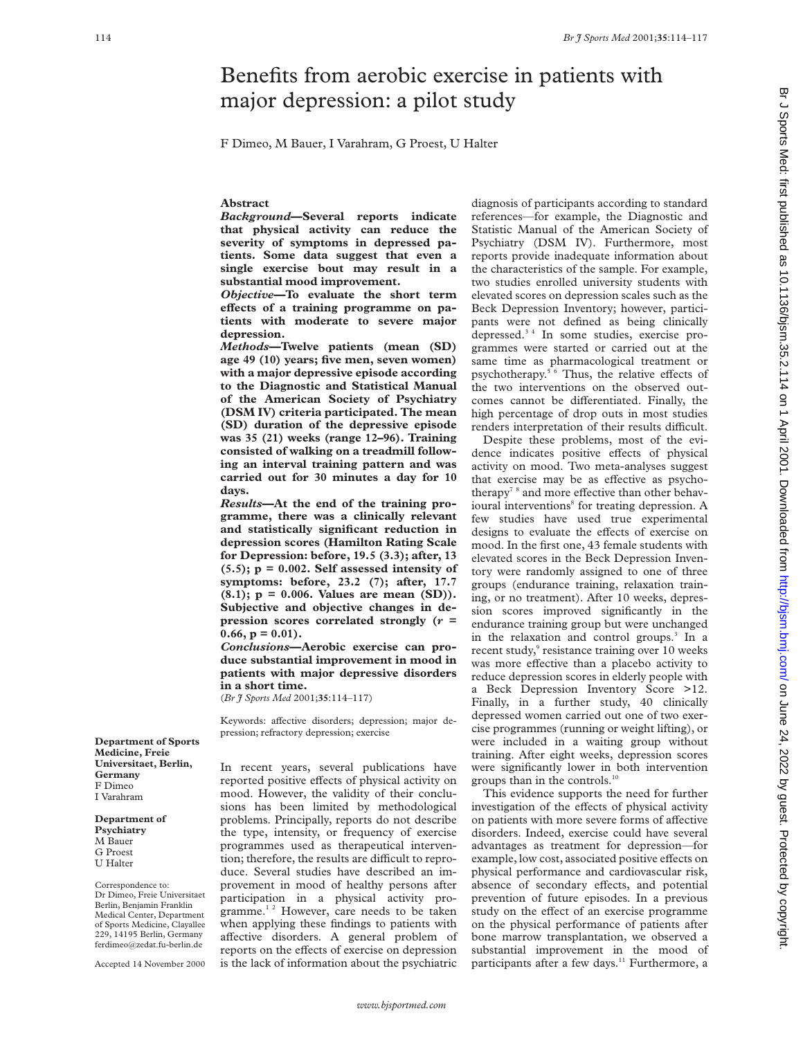# Benefits from aerobic exercise in patients with major depression: a pilot study

F Dimeo, M Bauer, I Varahram, G Proest, U Halter

# **Abstract**

*Background***—Several reports indicate that physical activity can reduce the severity of symptoms in depressed patients. Some data suggest that even a single exercise bout may result in a substantial mood improvement.**

*Objective***—To evaluate the short term** effects of a training programme on pa**tients with moderate to severe major depression.**

*Methods***—Twelve patients (mean (SD) age 49 (10) years; five men, seven women) with a major depressive episode according to the Diagnostic and Statistical Manual of the American Society of Psychiatry (DSM IV) criteria participated. The mean (SD) duration of the depressive episode was 35 (21) weeks (range 12–96). Training consisted of walking on a treadmill following an interval training pattern and was carried out for 30 minutes a day for 10 days.**

*Results***—At the end of the training programme, there was a clinically relevant and statistically significant reduction in depression scores (Hamilton Rating Scale for Depression: before, 19.5 (3.3); after, 13 (5.5); p = 0.002. Self assessed intensity of symptoms: before, 23.2 (7); after, 17.7 (8.1); p = 0.006. Values are mean (SD)). Subjective and objective changes in depression scores correlated strongly (***r* **=**  $0.66$ ,  $p = 0.01$ ).

*Conclusions***—Aerobic exercise can produce substantial improvement in mood in patients with major depressive disorders in a short time.**

(*Br J Sports Med* 2001;**35**:114–117)

Keywords: affective disorders; depression; major depression; refractory depression; exercise

In recent years, several publications have reported positive effects of physical activity on mood. However, the validity of their conclusions has been limited by methodological problems. Principally, reports do not describe the type, intensity, or frequency of exercise programmes used as therapeutical intervention; therefore, the results are difficult to reproduce. Several studies have described an improvement in mood of healthy persons after participation in a physical activity programme. $12$  However, care needs to be taken when applying these findings to patients with affective disorders. A general problem of reports on the effects of exercise on depression is the lack of information about the psychiatric

diagnosis of participants according to standard references—for example, the Diagnostic and Statistic Manual of the American Society of Psychiatry (DSM IV). Furthermore, most reports provide inadequate information about the characteristics of the sample. For example, two studies enrolled university students with elevated scores on depression scales such as the Beck Depression Inventory; however, participants were not defined as being clinically depressed.3 4 In some studies, exercise programmes were started or carried out at the same time as pharmacological treatment or psychotherapy.<sup>5 6</sup> Thus, the relative effects of the two interventions on the observed outcomes cannot be differentiated. Finally, the high percentage of drop outs in most studies renders interpretation of their results difficult.

Despite these problems, most of the evidence indicates positive effects of physical activity on mood. Two meta-analyses suggest that exercise may be as effective as psychotherapy<sup>78</sup> and more effective than other behavioural interventions<sup>8</sup> for treating depression. A few studies have used true experimental designs to evaluate the effects of exercise on mood. In the first one, 43 female students with elevated scores in the Beck Depression Inventory were randomly assigned to one of three groups (endurance training, relaxation training, or no treatment). After 10 weeks, depression scores improved significantly in the endurance training group but were unchanged in the relaxation and control groups.<sup>3</sup> In a recent study,<sup>9</sup> resistance training over 10 weeks was more effective than a placebo activity to reduce depression scores in elderly people with a Beck Depression Inventory Score >12. Finally, in a further study, 40 clinically depressed women carried out one of two exercise programmes (running or weight lifting), or were included in a waiting group without training. After eight weeks, depression scores were significantly lower in both intervention groups than in the controls.10

This evidence supports the need for further investigation of the effects of physical activity on patients with more severe forms of affective disorders. Indeed, exercise could have several advantages as treatment for depression—for example, low cost, associated positive effects on physical performance and cardiovascular risk, absence of secondary effects, and potential prevention of future episodes. In a previous study on the effect of an exercise programme on the physical performance of patients after bone marrow transplantation, we observed a substantial improvement in the mood of participants after a few days.<sup>11</sup> Furthermore, a

**Department of Sports Medicine, Freie Universitaet, Berlin, Germany** F Dimeo I Varahram

#### **Department of Psychiatry**

M Bauer G Proest

U Halter

Correspondence to: Dr Dimeo, Freie Universitaet Berlin, Benjamin Franklin Medical Center, Department of Sports Medicine, Clayallee 229, 14195 Berlin, Germany ferdimeo@zedat.fu-berlin.de

Accepted 14 November 2000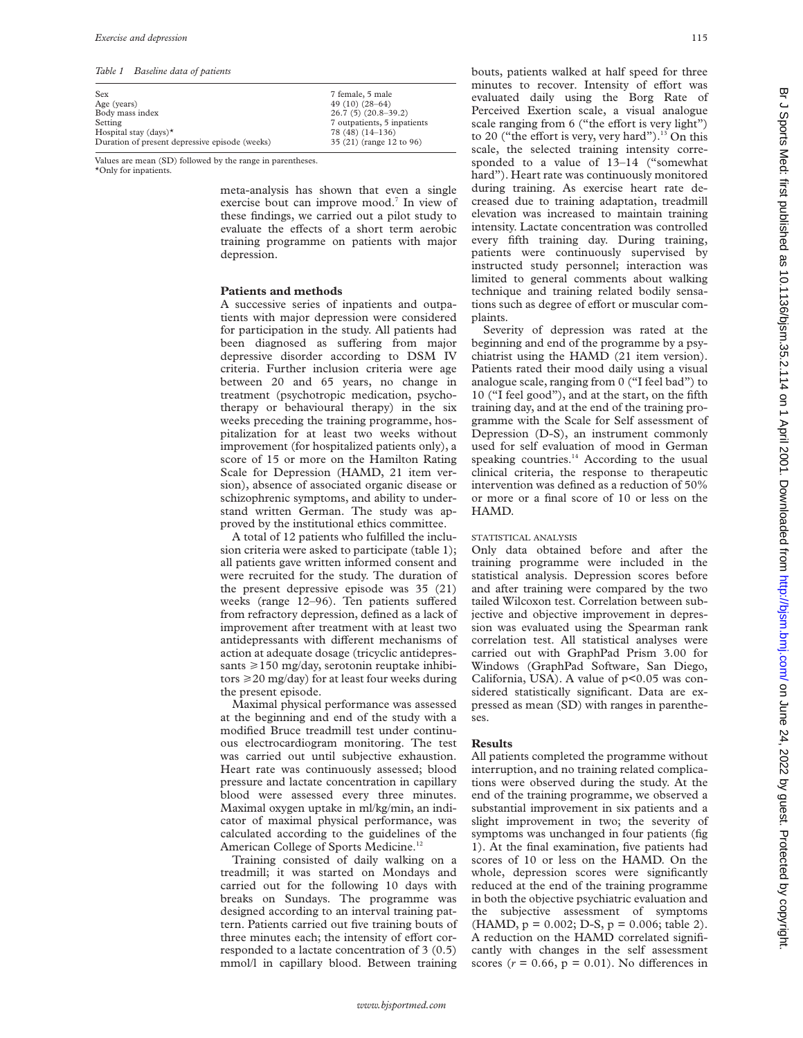*Table 1 Baseline data of patients*

| Sex                                            | 7 female, 5 male            |
|------------------------------------------------|-----------------------------|
| Age (years)                                    | 49 $(10)(28-64)$            |
| Body mass index                                | $26.7(5)(20.8-39.2)$        |
| Setting                                        | 7 outpatients, 5 inpatients |
| Hospital stay (days) $\star$                   | 78 (48) (14-136)            |
| Duration of present depressive episode (weeks) | 35 (21) (range 12 to 96)    |
|                                                |                             |

Values are mean (SD) followed by the range in parentheses.

\*Only for inpatients.

meta-analysis has shown that even a single exercise bout can improve mood.<sup>7</sup> In view of these findings, we carried out a pilot study to evaluate the effects of a short term aerobic training programme on patients with major depression.

#### **Patients and methods**

A successive series of inpatients and outpatients with major depression were considered for participation in the study. All patients had been diagnosed as suffering from major depressive disorder according to DSM IV criteria. Further inclusion criteria were age between 20 and 65 years, no change in treatment (psychotropic medication, psychotherapy or behavioural therapy) in the six weeks preceding the training programme, hospitalization for at least two weeks without improvement (for hospitalized patients only), a score of 15 or more on the Hamilton Rating Scale for Depression (HAMD, 21 item version), absence of associated organic disease or schizophrenic symptoms, and ability to understand written German. The study was approved by the institutional ethics committee.

A total of 12 patients who fulfilled the inclusion criteria were asked to participate (table 1); all patients gave written informed consent and were recruited for the study. The duration of the present depressive episode was 35 (21) weeks (range  $12-96$ ). Ten patients suffered from refractory depression, defined as a lack of improvement after treatment with at least two antidepressants with different mechanisms of action at adequate dosage (tricyclic antidepressants  $\ge$ 150 mg/day, serotonin reuptake inhibitors  $\geq$  20 mg/day) for at least four weeks during the present episode.

Maximal physical performance was assessed at the beginning and end of the study with a modified Bruce treadmill test under continuous electrocardiogram monitoring. The test was carried out until subjective exhaustion. Heart rate was continuously assessed; blood pressure and lactate concentration in capillary blood were assessed every three minutes. Maximal oxygen uptake in ml/kg/min, an indicator of maximal physical performance, was calculated according to the guidelines of the American College of Sports Medicine.<sup>12</sup>

Training consisted of daily walking on a treadmill; it was started on Mondays and carried out for the following 10 days with breaks on Sundays. The programme was designed according to an interval training pattern. Patients carried out five training bouts of three minutes each; the intensity of effort corresponded to a lactate concentration of 3 (0.5) mmol/l in capillary blood. Between training

bouts, patients walked at half speed for three minutes to recover. Intensity of effort was evaluated daily using the Borg Rate of Perceived Exertion scale, a visual analogue scale ranging from 6 ("the effort is very light") to 20 ("the effort is very, very hard").<sup>13</sup> On this scale, the selected training intensity corresponded to a value of 13–14 ("somewhat hard"). Heart rate was continuously monitored during training. As exercise heart rate decreased due to training adaptation, treadmill elevation was increased to maintain training intensity. Lactate concentration was controlled every fifth training day. During training, patients were continuously supervised by instructed study personnel; interaction was limited to general comments about walking technique and training related bodily sensations such as degree of effort or muscular complaints.

Severity of depression was rated at the beginning and end of the programme by a psychiatrist using the HAMD (21 item version). Patients rated their mood daily using a visual analogue scale, ranging from 0 ("I feel bad") to 10 ("I feel good"), and at the start, on the fifth training day, and at the end of the training programme with the Scale for Self assessment of Depression (D-S), an instrument commonly used for self evaluation of mood in German speaking countries.<sup>14</sup> According to the usual clinical criteria, the response to therapeutic intervention was defined as a reduction of 50% or more or a final score of 10 or less on the HAMD.

#### STATISTICAL ANALYSIS

Only data obtained before and after the training programme were included in the statistical analysis. Depression scores before and after training were compared by the two tailed Wilcoxon test. Correlation between subjective and objective improvement in depression was evaluated using the Spearman rank correlation test. All statistical analyses were carried out with GraphPad Prism 3.00 for Windows (GraphPad Software, San Diego, California, USA). A value of  $p<0.05$  was considered statistically significant. Data are expressed as mean (SD) with ranges in parentheses.

# **Results**

All patients completed the programme without interruption, and no training related complications were observed during the study. At the end of the training programme, we observed a substantial improvement in six patients and a slight improvement in two; the severity of symptoms was unchanged in four patients (fig 1). At the final examination, five patients had scores of 10 or less on the HAMD. On the whole, depression scores were significantly reduced at the end of the training programme in both the objective psychiatric evaluation and the subjective assessment of symptoms  $(HAMD, p = 0.002; D-S, p = 0.006; table 2).$ A reduction on the HAMD correlated significantly with changes in the self assessment scores  $(r = 0.66, p = 0.01)$ . No differences in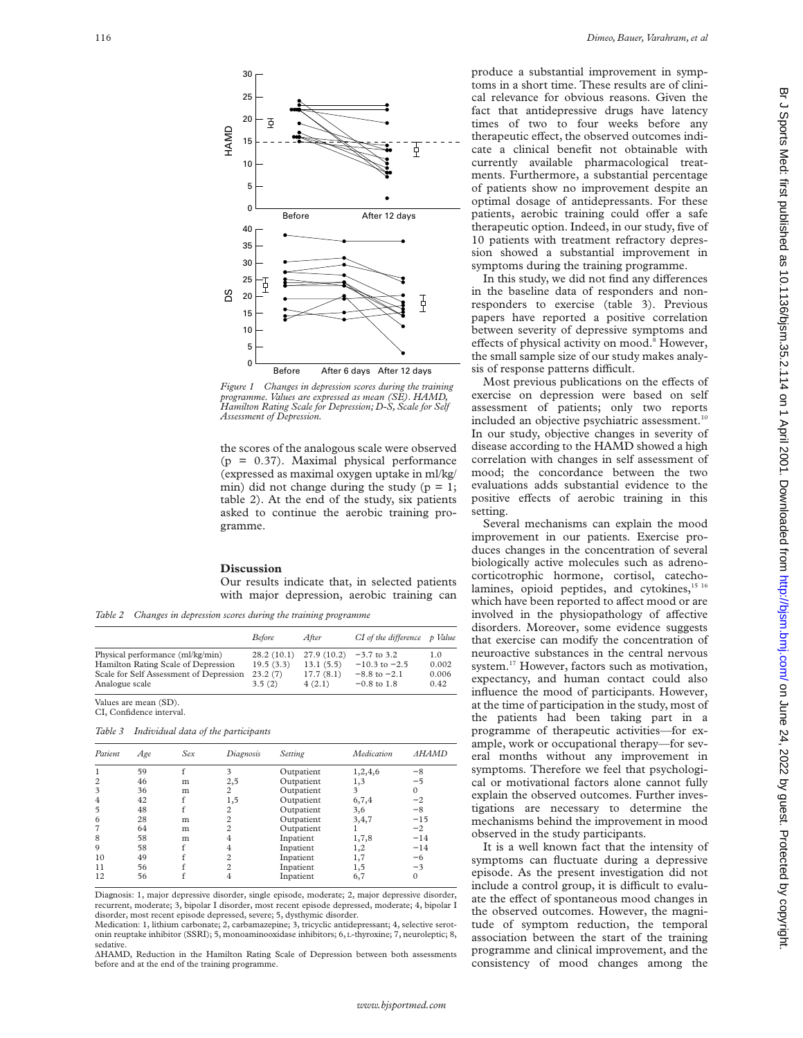

*Figure 1 Changes in depression scores during the training programme. Values are expressed as mean (SE). HAMD, Hamilton Rating Scale for Depression; D-S, Scale for Self Assessment of Depression.*

the scores of the analogous scale were observed (p = 0.37). Maximal physical performance (expressed as maximal oxygen uptake in ml/kg/ min) did not change during the study ( $p = 1$ ; table 2). At the end of the study, six patients asked to continue the aerobic training programme.

#### **Discussion**

Our results indicate that, in selected patients with major depression, aerobic training can

*Table 2 Changes in depression scores during the training programme*

|                                         | <b>Before</b> | After      | $CI$ of the difference $p$ Value |       |
|-----------------------------------------|---------------|------------|----------------------------------|-------|
| Physical performance (ml/kg/min)        | 28.2(10.1)    | 27.9(10.2) | $-3.7$ to 3.2                    | 1.0   |
| Hamilton Rating Scale of Depression     | 19.5(3.3)     | 13.1(5.5)  | $-10.3$ to $-2.5$                | 0.002 |
| Scale for Self Assessment of Depression | 23.2(7)       | 17.7(8.1)  | $-8.8$ to $-2.1$                 | 0.006 |
| Analogue scale                          | 3.5(2)        | 4(2.1)     | $-0.8$ to 1.8                    | 0.42  |

Values are mean (SD). CI, Confidence interval.

*Table 3 Individual data of the participants*

| Patient        | Age | Sex | Diagnosis      | Setting    | Medication | <b>AHAMD</b> |
|----------------|-----|-----|----------------|------------|------------|--------------|
|                | 59  | f   | 3              | Outpatient | 1,2,4,6    | -8           |
| $\overline{2}$ | 46  | m   | 2,5            | Outpatient | 1,3        | $-5$         |
| 3              | 36  | m   | 2              | Outpatient | 3          |              |
| $\overline{4}$ | 42  |     | 1,5            | Outpatient | 6,7,4      | $-2$         |
| 5              | 48  |     | 2              | Outpatient | 3,6        | $-8$         |
| 6              | 28  | m   | $\overline{c}$ | Outpatient | 3,4,7      | $-15$        |
| 7              | 64  | m   | 2              | Outpatient |            | $-2$         |
| 8              | 58  | m   | 4              | Inpatient  | 1,7,8      | $-14$        |
| 9              | 58  |     | 4              | Inpatient  | 1,2        | $-14$        |
| 10             | 49  |     | $\overline{c}$ | Inpatient  | 1,7        | $-6$         |
| 11             | 56  |     | $\overline{c}$ | Inpatient  | 1,5        | $-3$         |
| 12             | 56  |     | 4              | Inpatient  | 6,7        |              |

Diagnosis: 1, major depressive disorder, single episode, moderate; 2, major depressive disorder, recurrent, moderate; 3, bipolar I disorder, most recent episode depressed, moderate; 4, bipolar I disorder, most recent episode depressed, severe; 5, dysthymic disorder.

Medication: 1, lithium carbonate; 2, carbamazepine; 3, tricyclic antidepressant; 4, selective serotonin reuptake inhibitor (SSRI); 5, monoaminooxidase inhibitors; 6, L-thyroxine; 7, neuroleptic; 8, sedative.

ÄHAMD, Reduction in the Hamilton Rating Scale of Depression between both assessments before and at the end of the training programme.

produce a substantial improvement in symptoms in a short time. These results are of clinical relevance for obvious reasons. Given the fact that antidepressive drugs have latency times of two to four weeks before any therapeutic effect, the observed outcomes indicate a clinical benefit not obtainable with currently available pharmacological treatments. Furthermore, a substantial percentage of patients show no improvement despite an optimal dosage of antidepressants. For these patients, aerobic training could offer a safe therapeutic option. Indeed, in our study, five of 10 patients with treatment refractory depression showed a substantial improvement in symptoms during the training programme.

In this study, we did not find any differences in the baseline data of responders and nonresponders to exercise (table 3). Previous papers have reported a positive correlation between severity of depressive symptoms and effects of physical activity on mood.<sup>8</sup> However, the small sample size of our study makes analysis of response patterns difficult.

Most previous publications on the effects of exercise on depression were based on self assessment of patients; only two reports included an objective psychiatric assessment.<sup>10</sup> In our study, objective changes in severity of disease according to the HAMD showed a high correlation with changes in self assessment of mood; the concordance between the two evaluations adds substantial evidence to the positive effects of aerobic training in this setting.

Several mechanisms can explain the mood improvement in our patients. Exercise produces changes in the concentration of several biologically active molecules such as adrenocorticotrophic hormone, cortisol, catecholamines, opioid peptides, and cytokines,<sup>15 16</sup> which have been reported to affect mood or are involved in the physiopathology of affective disorders. Moreover, some evidence suggests that exercise can modify the concentration of neuroactive substances in the central nervous system.<sup>17</sup> However, factors such as motivation, expectancy, and human contact could also influence the mood of participants. However, at the time of participation in the study, most of the patients had been taking part in a programme of therapeutic activities—for example, work or occupational therapy—for several months without any improvement in symptoms. Therefore we feel that psychological or motivational factors alone cannot fully explain the observed outcomes. Further investigations are necessary to determine the mechanisms behind the improvement in mood observed in the study participants.

It is a well known fact that the intensity of symptoms can fluctuate during a depressive episode. As the present investigation did not include a control group, it is difficult to evaluate the effect of spontaneous mood changes in the observed outcomes. However, the magnitude of symptom reduction, the temporal association between the start of the training programme and clinical improvement, and the consistency of mood changes among the